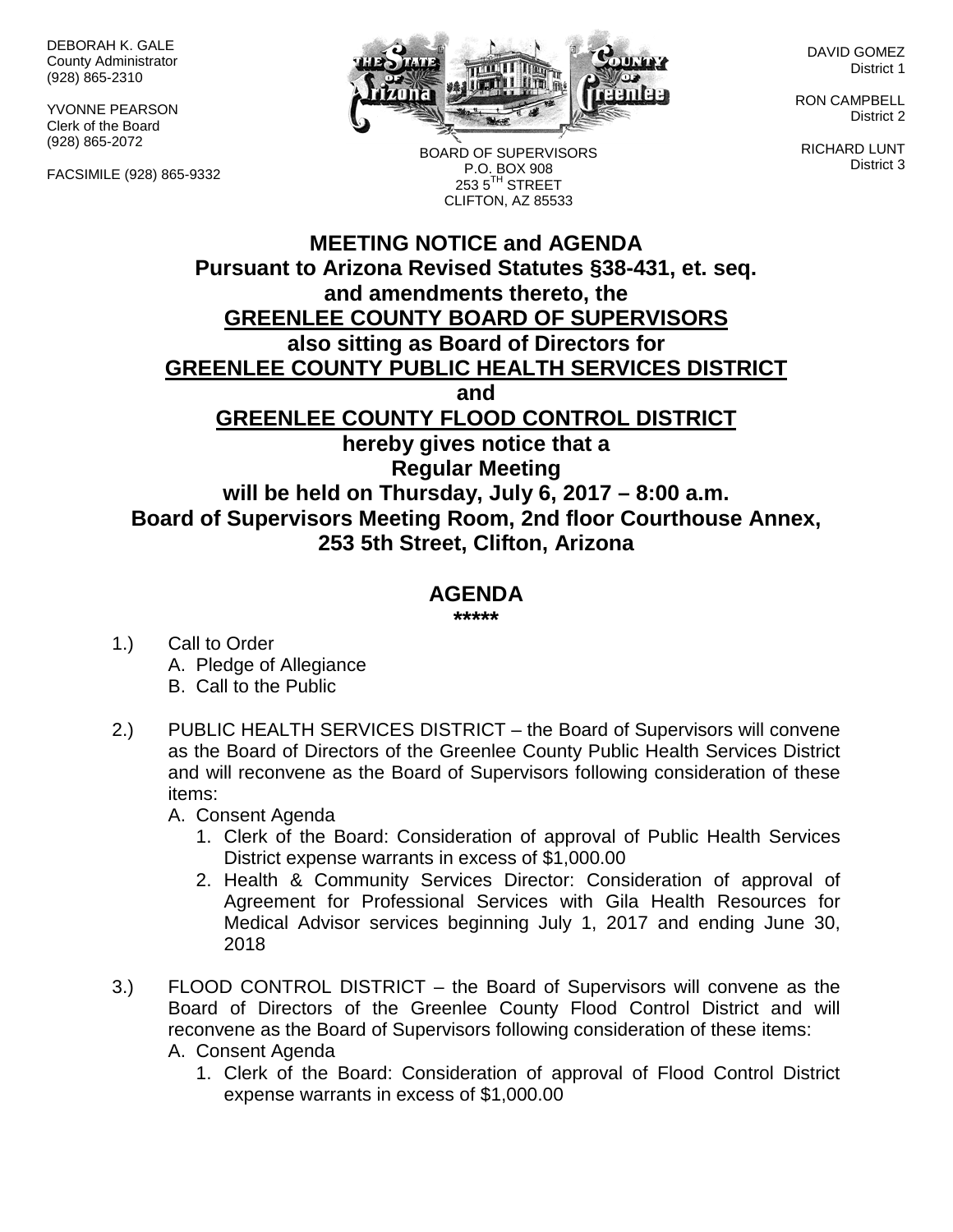DEBORAH K. GALE County Administrator (928) 865-2310

YVONNE PEARSON Clerk of the Board (928) 865-2072

FACSIMILE (928) 865-9332



BOARD OF SUPERVISORS

DAVID GOMEZ District 1

RON CAMPBELL District 2

RICHARD LUNT District 3

**MEETING NOTICE and AGENDA Pursuant to Arizona Revised Statutes §38-431, et. seq. and amendments thereto, the GREENLEE COUNTY BOARD OF SUPERVISORS also sitting as Board of Directors for** P.O. BOX 908  $2535^{\text{TH}}$  STREET CLIFTON, AZ 85533

**GREENLEE COUNTY PUBLIC HEALTH SERVICES DISTRICT**

**and**

**GREENLEE COUNTY FLOOD CONTROL DISTRICT**

**hereby gives notice that a Regular Meeting will be held on Thursday, July 6, 2017 – 8:00 a.m. Board of Supervisors Meeting Room, 2nd floor Courthouse Annex, 253 5th Street, Clifton, Arizona**

## **AGENDA**

**\*\*\*\*\***

- 1.) Call to Order A. Pledge of Allegiance B. Call to the Public
- 2.) PUBLIC HEALTH SERVICES DISTRICT the Board of Supervisors will convene as the Board of Directors of the Greenlee County Public Health Services District and will reconvene as the Board of Supervisors following consideration of these items:

A. Consent Agenda

- 1. Clerk of the Board: Consideration of approval of Public Health Services District expense warrants in excess of \$1,000.00
- 2. Health & Community Services Director: Consideration of approval of Agreement for Professional Services with Gila Health Resources for Medical Advisor services beginning July 1, 2017 and ending June 30, 2018
- 3.) FLOOD CONTROL DISTRICT the Board of Supervisors will convene as the Board of Directors of the Greenlee County Flood Control District and will reconvene as the Board of Supervisors following consideration of these items:
	- A. Consent Agenda
		- 1. Clerk of the Board: Consideration of approval of Flood Control District expense warrants in excess of \$1,000.00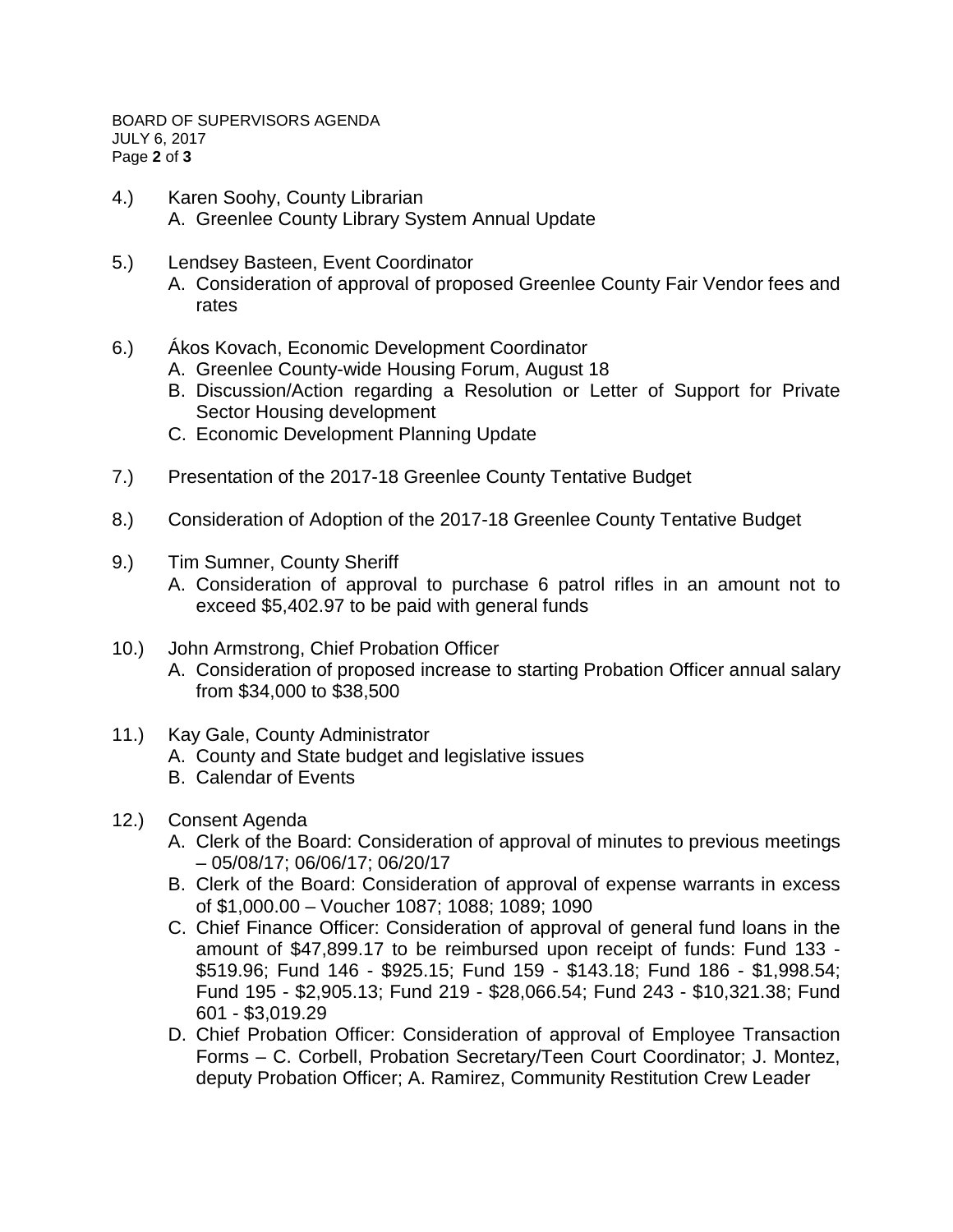BOARD OF SUPERVISORS AGENDA JULY 6, 2017 Page **2** of **3**

- 4.) Karen Soohy, County Librarian A. Greenlee County Library System Annual Update
- 5.) Lendsey Basteen, Event Coordinator
	- A. Consideration of approval of proposed Greenlee County Fair Vendor fees and rates
- 6.) Ákos Kovach, Economic Development Coordinator
	- A. Greenlee County-wide Housing Forum, August 18
	- B. Discussion/Action regarding a Resolution or Letter of Support for Private Sector Housing development
	- C. Economic Development Planning Update
- 7.) Presentation of the 2017-18 Greenlee County Tentative Budget
- 8.) Consideration of Adoption of the 2017-18 Greenlee County Tentative Budget
- 9.) Tim Sumner, County Sheriff
	- A. Consideration of approval to purchase 6 patrol rifles in an amount not to exceed \$5,402.97 to be paid with general funds
- 10.) John Armstrong, Chief Probation Officer
	- A. Consideration of proposed increase to starting Probation Officer annual salary from \$34,000 to \$38,500
- 11.) Kay Gale, County Administrator
	- A. County and State budget and legislative issues
	- B. Calendar of Events
- 12.) Consent Agenda
	- A. Clerk of the Board: Consideration of approval of minutes to previous meetings – 05/08/17; 06/06/17; 06/20/17
	- B. Clerk of the Board: Consideration of approval of expense warrants in excess of \$1,000.00 – Voucher 1087; 1088; 1089; 1090
	- C. Chief Finance Officer: Consideration of approval of general fund loans in the amount of \$47,899.17 to be reimbursed upon receipt of funds: Fund 133 - \$519.96; Fund 146 - \$925.15; Fund 159 - \$143.18; Fund 186 - \$1,998.54; Fund 195 - \$2,905.13; Fund 219 - \$28,066.54; Fund 243 - \$10,321.38; Fund 601 - \$3,019.29
	- D. Chief Probation Officer: Consideration of approval of Employee Transaction Forms – C. Corbell, Probation Secretary/Teen Court Coordinator; J. Montez, deputy Probation Officer; A. Ramirez, Community Restitution Crew Leader